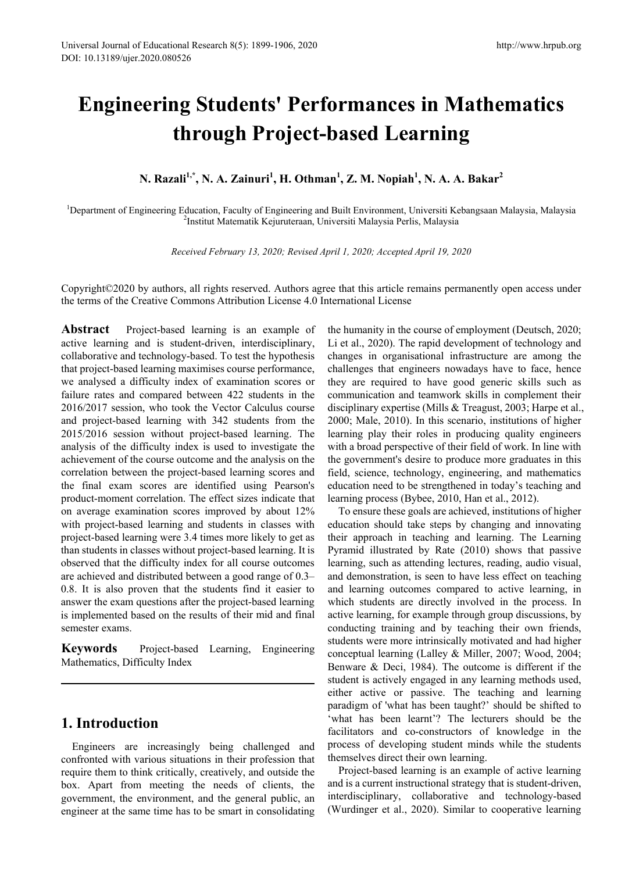# **Engineering Students' Performances in Mathematics through Project-based Learning**

**N. Razali1,\*, N. A. Zainuri<sup>1</sup> , H. Othman<sup>1</sup> , Z. M. Nopiah<sup>1</sup> , N. A. A. Bakar2** 

<sup>1</sup>Department of Engineering Education, Faculty of Engineering and Built Environment, Universiti Kebangsaan Malaysia, Malaysia<br><sup>2</sup>Institut Matematik Kejuruteraan Universiti Malaysia Perlis Malaysia <sup>2</sup>Institut Matematik Kejuruteraan, Universiti Malaysia Perlis, Malaysia

*Received February 13, 2020; Revised April 1, 2020; Accepted April 19, 2020*

Copyright©2020 by authors, all rights reserved. Authors agree that this article remains permanently open access under the terms of the Creative Commons Attribution License 4.0 International License

Abstract Project-based learning is an example of active learning and is student-driven, interdisciplinary, collaborative and technology-based. To test the hypothesis that project-based learning maximises course performance, we analysed a difficulty index of examination scores or failure rates and compared between 422 students in the 2016/2017 session, who took the Vector Calculus course and project-based learning with 342 students from the 2015/2016 session without project-based learning. The analysis of the difficulty index is used to investigate the achievement of the course outcome and the analysis on the correlation between the project-based learning scores and the final exam scores are identified using Pearson's product-moment correlation. The effect sizes indicate that on average examination scores improved by about 12% with project-based learning and students in classes with project-based learning were 3.4 times more likely to get as than students in classes without project-based learning. It is observed that the difficulty index for all course outcomes are achieved and distributed between a good range of 0.3– 0.8. It is also proven that the students find it easier to answer the exam questions after the project-based learning is implemented based on the results of their mid and final semester exams.

**Keywords** Project-based Learning, Engineering Mathematics, Difficulty Index

### **1. Introduction**

Engineers are increasingly being challenged and confronted with various situations in their profession that require them to think critically, creatively, and outside the box. Apart from meeting the needs of clients, the government, the environment, and the general public, an engineer at the same time has to be smart in consolidating the humanity in the course of employment (Deutsch, 2020; Li et al., 2020). The rapid development of technology and changes in organisational infrastructure are among the challenges that engineers nowadays have to face, hence they are required to have good generic skills such as communication and teamwork skills in complement their disciplinary expertise (Mills & Treagust, 2003; Harpe et al., 2000; Male, 2010). In this scenario, institutions of higher learning play their roles in producing quality engineers with a broad perspective of their field of work. In line with the government's desire to produce more graduates in this field, science, technology, engineering, and mathematics education need to be strengthened in today's teaching and learning process (Bybee, 2010, Han et al., 2012).

To ensure these goals are achieved, institutions of higher education should take steps by changing and innovating their approach in teaching and learning. The Learning Pyramid illustrated by Rate (2010) shows that passive learning, such as attending lectures, reading, audio visual, and demonstration, is seen to have less effect on teaching and learning outcomes compared to active learning, in which students are directly involved in the process. In active learning, for example through group discussions, by conducting training and by teaching their own friends, students were more intrinsically motivated and had higher conceptual learning (Lalley & Miller, 2007; Wood, 2004; Benware & Deci, 1984). The outcome is different if the student is actively engaged in any learning methods used, either active or passive. The teaching and learning paradigm of 'what has been taught?' should be shifted to 'what has been learnt'? The lecturers should be the facilitators and co-constructors of knowledge in the process of developing student minds while the students themselves direct their own learning.

Project-based learning is an example of active learning and is a current instructional strategy that is student-driven, interdisciplinary, collaborative and technology-based (Wurdinger et al., 2020). Similar to cooperative learning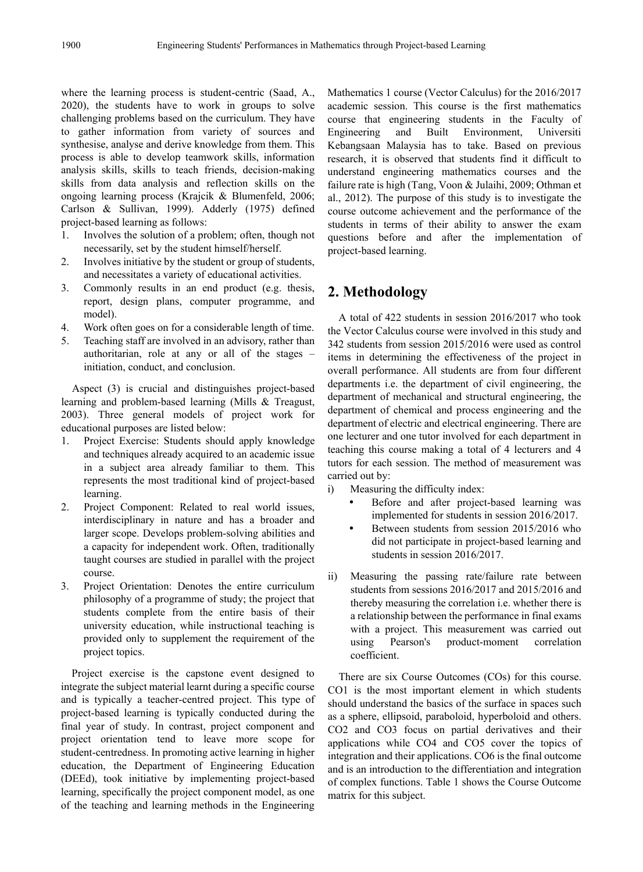where the learning process is student-centric (Saad, A., 2020), the students have to work in groups to solve challenging problems based on the curriculum. They have to gather information from variety of sources and synthesise, analyse and derive knowledge from them. This process is able to develop teamwork skills, information analysis skills, skills to teach friends, decision-making skills from data analysis and reflection skills on the ongoing learning process (Krajcik & Blumenfeld, 2006; Carlson & Sullivan, 1999). Adderly (1975) defined project-based learning as follows:

- 1. Involves the solution of a problem; often, though not necessarily, set by the student himself/herself.
- 2. Involves initiative by the student or group of students, and necessitates a variety of educational activities.
- 3. Commonly results in an end product (e.g. thesis, report, design plans, computer programme, and model).
- 4. Work often goes on for a considerable length of time.
- 5. Teaching staff are involved in an advisory, rather than authoritarian, role at any or all of the stages – initiation, conduct, and conclusion.

Aspect (3) is crucial and distinguishes project-based learning and problem-based learning (Mills & Treagust, 2003). Three general models of project work for educational purposes are listed below:

- 1. Project Exercise: Students should apply knowledge and techniques already acquired to an academic issue in a subject area already familiar to them. This represents the most traditional kind of project-based learning.
- 2. Project Component: Related to real world issues, interdisciplinary in nature and has a broader and larger scope. Develops problem-solving abilities and a capacity for independent work. Often, traditionally taught courses are studied in parallel with the project course.
- 3. Project Orientation: Denotes the entire curriculum philosophy of a programme of study; the project that students complete from the entire basis of their university education, while instructional teaching is provided only to supplement the requirement of the project topics.

Project exercise is the capstone event designed to integrate the subject material learnt during a specific course and is typically a teacher-centred project. This type of project-based learning is typically conducted during the final year of study. In contrast, project component and project orientation tend to leave more scope for student-centredness. In promoting active learning in higher education, the Department of Engineering Education (DEEd), took initiative by implementing project-based learning, specifically the project component model, as one of the teaching and learning methods in the Engineering

Mathematics 1 course (Vector Calculus) for the 2016/2017 academic session. This course is the first mathematics course that engineering students in the Faculty of Engineering and Built Environment, Universiti Kebangsaan Malaysia has to take. Based on previous research, it is observed that students find it difficult to understand engineering mathematics courses and the failure rate is high (Tang, Voon & Julaihi, 2009; Othman et al., 2012). The purpose of this study is to investigate the course outcome achievement and the performance of the students in terms of their ability to answer the exam questions before and after the implementation of project-based learning.

# **2. Methodology**

A total of 422 students in session 2016/2017 who took the Vector Calculus course were involved in this study and 342 students from session 2015/2016 were used as control items in determining the effectiveness of the project in overall performance. All students are from four different departments i.e. the department of civil engineering, the department of mechanical and structural engineering, the department of chemical and process engineering and the department of electric and electrical engineering. There are one lecturer and one tutor involved for each department in teaching this course making a total of 4 lecturers and 4 tutors for each session. The method of measurement was carried out by:

- i) Measuring the difficulty index:
	- Before and after project-based learning was implemented for students in session 2016/2017.
	- Between students from session 2015/2016 who did not participate in project-based learning and students in session 2016/2017.
- ii) Measuring the passing rate/failure rate between students from sessions 2016/2017 and 2015/2016 and thereby measuring the correlation i.e. whether there is a relationship between the performance in final exams with a project. This measurement was carried out using Pearson's product-moment correlation coefficient.

There are six Course Outcomes (COs) for this course. CO1 is the most important element in which students should understand the basics of the surface in spaces such as a sphere, ellipsoid, paraboloid, hyperboloid and others. CO2 and CO3 focus on partial derivatives and their applications while CO4 and CO5 cover the topics of integration and their applications. CO6 is the final outcome and is an introduction to the differentiation and integration of complex functions. Table 1 shows the Course Outcome matrix for this subject.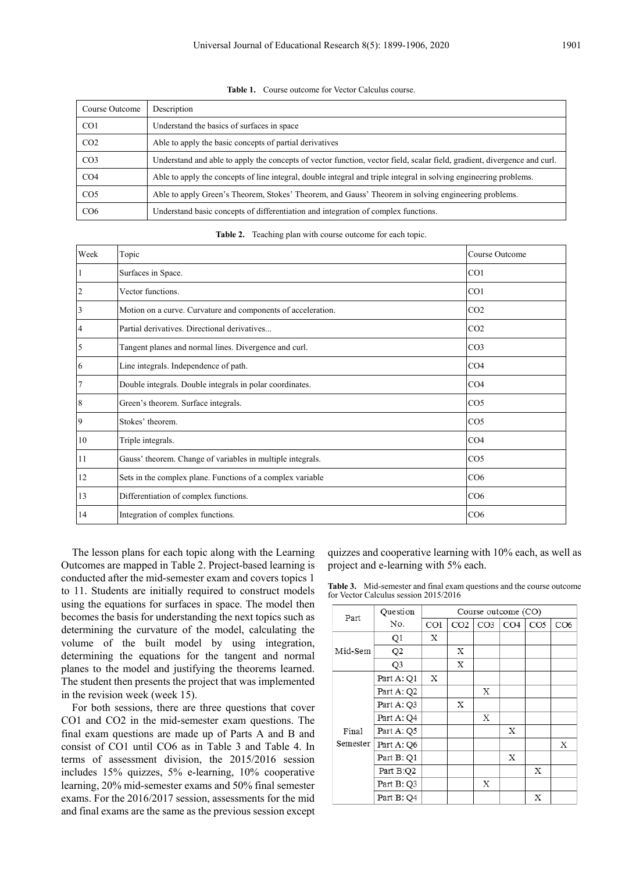**Table 1.** Course outcome for Vector Calculus course.

| Course Outcome  | Description                                                                                                              |
|-----------------|--------------------------------------------------------------------------------------------------------------------------|
| CO <sub>1</sub> | Understand the basics of surfaces in space                                                                               |
| CO <sub>2</sub> | Able to apply the basic concepts of partial derivatives                                                                  |
| CO <sub>3</sub> | Understand and able to apply the concepts of vector function, vector field, scalar field, gradient, divergence and curl. |
| CO <sub>4</sub> | Able to apply the concepts of line integral, double integral and triple integral in solving engineering problems.        |
| CO <sub>5</sub> | Able to apply Green's Theorem, Stokes' Theorem, and Gauss' Theorem in solving engineering problems.                      |
| CO6             | Understand basic concepts of differentiation and integration of complex functions.                                       |

**Table 2.** Teaching plan with course outcome for each topic.

| Week | Topic                                                        | Course Outcome  |
|------|--------------------------------------------------------------|-----------------|
|      | Surfaces in Space.                                           | CO <sub>1</sub> |
| 2    | Vector functions.                                            | CO <sub>1</sub> |
| 3    | Motion on a curve. Curvature and components of acceleration. | CO <sub>2</sub> |
| 4    | Partial derivatives. Directional derivatives                 | CO <sub>2</sub> |
| 5    | Tangent planes and normal lines. Divergence and curl.        | CO <sub>3</sub> |
| 6    | Line integrals. Independence of path.                        | CO <sub>4</sub> |
| 7    | Double integrals. Double integrals in polar coordinates.     | CO <sub>4</sub> |
| 8    | Green's theorem. Surface integrals.                          | CO <sub>5</sub> |
| 9    | Stokes' theorem.                                             | CO <sub>5</sub> |
| 10   | Triple integrals.                                            | CO <sub>4</sub> |
| 11   | Gauss' theorem. Change of variables in multiple integrals.   | CO <sub>5</sub> |
| 12   | Sets in the complex plane. Functions of a complex variable   | CO6             |
| 13   | Differentiation of complex functions.                        | CO6             |
| 14   | Integration of complex functions.                            | CO6             |

The lesson plans for each topic along with the Learning Outcomes are mapped in Table 2. Project-based learning is conducted after the mid-semester exam and covers topics 1 to 11. Students are initially required to construct models using the equations for surfaces in space. The model then becomes the basis for understanding the next topics such as determining the curvature of the model, calculating the volume of the built model by using integration, determining the equations for the tangent and normal planes to the model and justifying the theorems learned. The student then presents the project that was implemented in the revision week (week 15).

For both sessions, there are three questions that cover CO1 and CO2 in the mid-semester exam questions. The final exam questions are made up of Parts A and B and consist of CO1 until CO6 as in Table 3 and Table 4. In terms of assessment division, the 2015/2016 session includes 15% quizzes, 5% e-learning, 10% cooperative learning, 20% mid-semester exams and 50% final semester exams. For the 2016/2017 session, assessments for the mid and final exams are the same as the previous session except quizzes and cooperative learning with 10% each, as well as project and e-learning with 5% each.

**Table 3.** Mid-semester and final exam questions and the course outcome for Vector Calculus session 2015/2016

| Part     | Question       | Course outcome (CO) |                 |                 |     |                 |     |
|----------|----------------|---------------------|-----------------|-----------------|-----|-----------------|-----|
|          | No.            | CO1                 | CO <sub>2</sub> | CO <sub>3</sub> | CO4 | CO <sub>5</sub> | CO6 |
|          | Q1             | X                   |                 |                 |     |                 |     |
| Mid-Sem  | Q <sub>2</sub> |                     | Х               |                 |     |                 |     |
|          | Q3             |                     | X               |                 |     |                 |     |
|          | Part A: Q1     | Х                   |                 |                 |     |                 |     |
|          | Part A: Q2     |                     |                 | X               |     |                 |     |
|          | Part A: Q3     |                     | X               |                 |     |                 |     |
|          | Part A: Q4     |                     |                 | X               |     |                 |     |
| Final    | Part A: Q5     |                     |                 |                 | X   |                 |     |
| Semester | Part A: Q6     |                     |                 |                 |     |                 | X   |
|          | Part B: Q1     |                     |                 |                 | X   |                 |     |
|          | Part B:Q2      |                     |                 |                 |     | X               |     |
|          | Part B: Q3     |                     |                 | X               |     |                 |     |
|          | Part B: Q4     |                     |                 |                 |     | X               |     |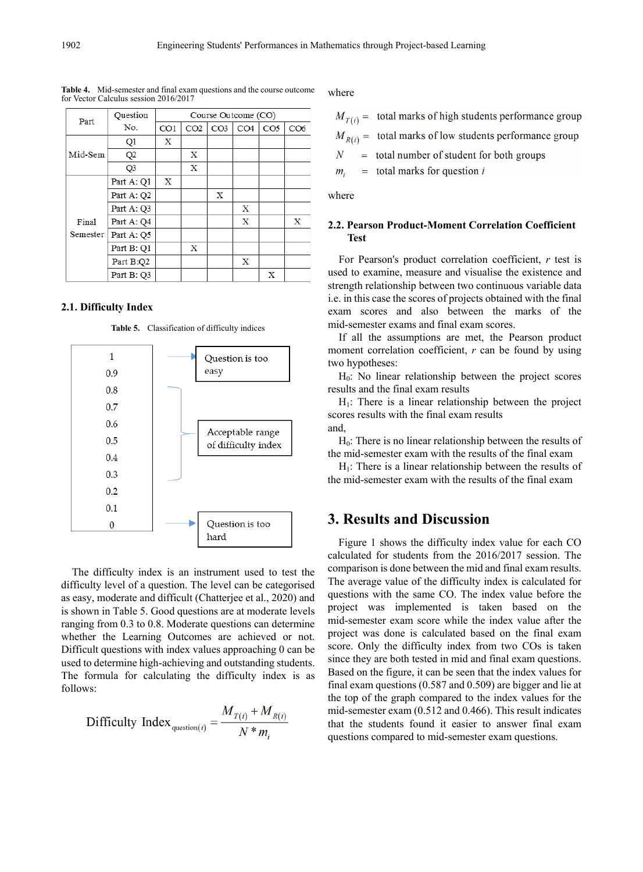| Part     | Question       | Course Outcome (CO) |                 |                 |                 |                 |     |  |
|----------|----------------|---------------------|-----------------|-----------------|-----------------|-----------------|-----|--|
|          | No.            | CO1                 | CO <sub>2</sub> | CO <sub>3</sub> | CO <sub>4</sub> | CO <sub>5</sub> | CO6 |  |
|          | Q1             | X                   |                 |                 |                 |                 |     |  |
| Mid-Sem  | Q <sub>2</sub> |                     | X               |                 |                 |                 |     |  |
|          | Q <sub>3</sub> |                     | X               |                 |                 |                 |     |  |
|          | Part A: Q1     | X                   |                 |                 |                 |                 |     |  |
|          | Part A: Q2     |                     |                 | Х               |                 |                 |     |  |
|          | Part A: Q3     |                     |                 |                 | Χ               |                 |     |  |
| Final    | Part A: Q4     |                     |                 |                 | X               |                 | Х   |  |
| Semester | Part A: Q5     |                     |                 |                 |                 |                 |     |  |
|          | Part B: Q1     |                     | X               |                 |                 |                 |     |  |
|          | Part B:Q2      |                     |                 |                 | X               |                 |     |  |
|          | Part B: Q3     |                     |                 |                 |                 | X               |     |  |

**Table 4.** Mid-semester and final exam questions and the course outcome for Vector Calculus session 2016/2017

#### **2.1. Difficulty Index**

**Table 5.** Classification of difficulty indices



The difficulty index is an instrument used to test the difficulty level of a question. The level can be categorised as easy, moderate and difficult (Chatterjee et al., 2020) and is shown in Table 5. Good questions are at moderate levels ranging from 0.3 to 0.8. Moderate questions can determine whether the Learning Outcomes are achieved or not. Difficult questions with index values approaching 0 can be used to determine high-achieving and outstanding students. The formula for calculating the difficulty index is as follows:

Differentifying 
$$
\text{Diffrically Index}_{\text{question}(i)} = \frac{M_{T(i)} + M_{R(i)}}{N * m_i}
$$

where

|  |  | $M_{T(i)} =$ total marks of high students performance group |  |
|--|--|-------------------------------------------------------------|--|
|  |  |                                                             |  |

 $M_{R(i)}$  = total marks of low students performance group

 $\overline{N}$  $=$  total number of student for both groups

 $=$  total marks for question i  $m_i$ 

where

#### **2.2. Pearson Product-Moment Correlation Coefficient Test**

For Pearson's product correlation coefficient, *r* test is used to examine, measure and visualise the existence and strength relationship between two continuous variable data i.e. in this case the scores of projects obtained with the final exam scores and also between the marks of the mid-semester exams and final exam scores.

If all the assumptions are met, the Pearson product moment correlation coefficient, *r* can be found by using two hypotheses:

 $H<sub>0</sub>$ : No linear relationship between the project scores results and the final exam results

 $H<sub>1</sub>$ : There is a linear relationship between the project scores results with the final exam results and,

 $H<sub>0</sub>$ : There is no linear relationship between the results of the mid-semester exam with the results of the final exam

 $H<sub>1</sub>$ : There is a linear relationship between the results of the mid-semester exam with the results of the final exam

# **3. Results and Discussion**

Figure 1 shows the difficulty index value for each CO calculated for students from the 2016/2017 session. The comparison is done between the mid and final exam results. The average value of the difficulty index is calculated for questions with the same CO. The index value before the project was implemented is taken based on the mid-semester exam score while the index value after the project was done is calculated based on the final exam score. Only the difficulty index from two COs is taken since they are both tested in mid and final exam questions. Based on the figure, it can be seen that the index values for final exam questions (0.587 and 0.509) are bigger and lie at the top of the graph compared to the index values for the mid-semester exam (0.512 and 0.466). This result indicates that the students found it easier to answer final exam questions compared to mid-semester exam questions.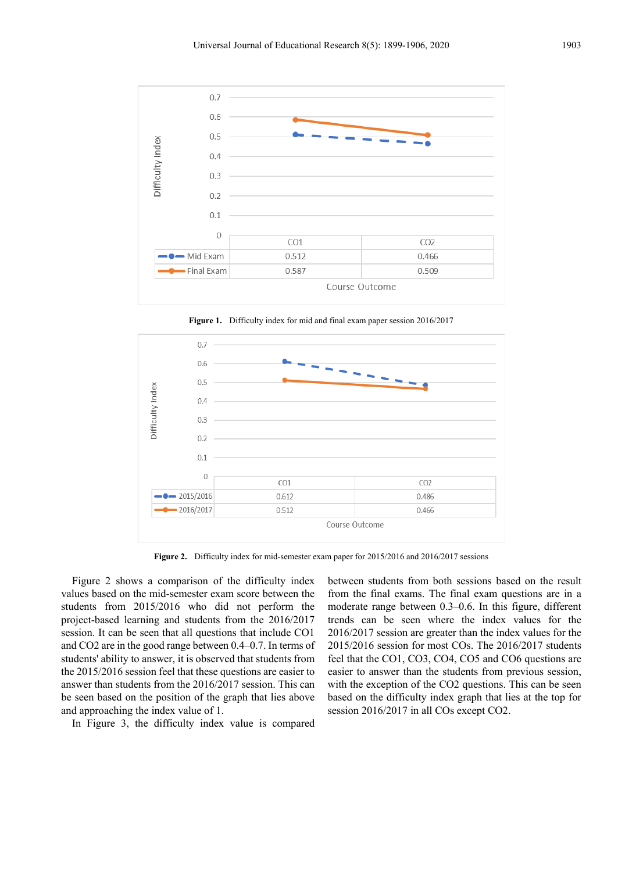

**Figure 1.** Difficulty index for mid and final exam paper session 2016/2017



**Figure 2.** Difficulty index for mid-semester exam paper for 2015/2016 and 2016/2017 sessions

Figure 2 shows a comparison of the difficulty index values based on the mid-semester exam score between the students from 2015/2016 who did not perform the project-based learning and students from the 2016/2017 session. It can be seen that all questions that include CO1 and CO2 are in the good range between 0.4–0.7. In terms of students' ability to answer, it is observed that students from the 2015/2016 session feel that these questions are easier to answer than students from the 2016/2017 session. This can be seen based on the position of the graph that lies above and approaching the index value of 1.

In Figure 3, the difficulty index value is compared

between students from both sessions based on the result from the final exams. The final exam questions are in a moderate range between 0.3–0.6. In this figure, different trends can be seen where the index values for the 2016/2017 session are greater than the index values for the 2015/2016 session for most COs. The 2016/2017 students feel that the CO1, CO3, CO4, CO5 and CO6 questions are easier to answer than the students from previous session, with the exception of the CO2 questions. This can be seen based on the difficulty index graph that lies at the top for session 2016/2017 in all COs except CO2.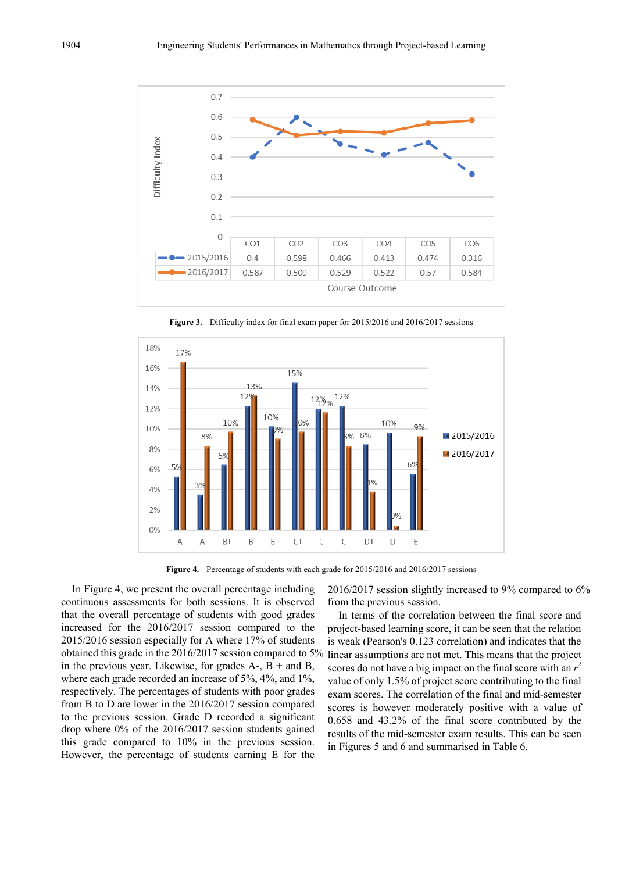

**Figure 3.** Difficulty index for final exam paper for 2015/2016 and 2016/2017 sessions



**Figure 4.** Percentage of students with each grade for 2015/2016 and 2016/2017 sessions

In Figure 4, we present the overall percentage including continuous assessments for both sessions. It is observed that the overall percentage of students with good grades increased for the 2016/2017 session compared to the 2015/2016 session especially for A where 17% of students obtained this grade in the 2016/2017 session compared to 5% in the previous year. Likewise, for grades  $A_-, B_+$  and  $B$ , where each grade recorded an increase of 5%, 4%, and 1%, respectively. The percentages of students with poor grades from B to D are lower in the 2016/2017 session compared to the previous session. Grade D recorded a significant drop where 0% of the 2016/2017 session students gained this grade compared to 10% in the previous session. However, the percentage of students earning E for the

2016/2017 session slightly increased to 9% compared to 6% from the previous session.

In terms of the correlation between the final score and project-based learning score, it can be seen that the relation is weak (Pearson's 0.123 correlation) and indicates that the linear assumptions are not met. This means that the project scores do not have a big impact on the final score with an  $r^2$ value of only 1.5% of project score contributing to the final exam scores. The correlation of the final and mid-semester scores is however moderately positive with a value of 0.658 and 43.2% of the final score contributed by the results of the mid-semester exam results. This can be seen in Figures 5 and 6 and summarised in Table 6.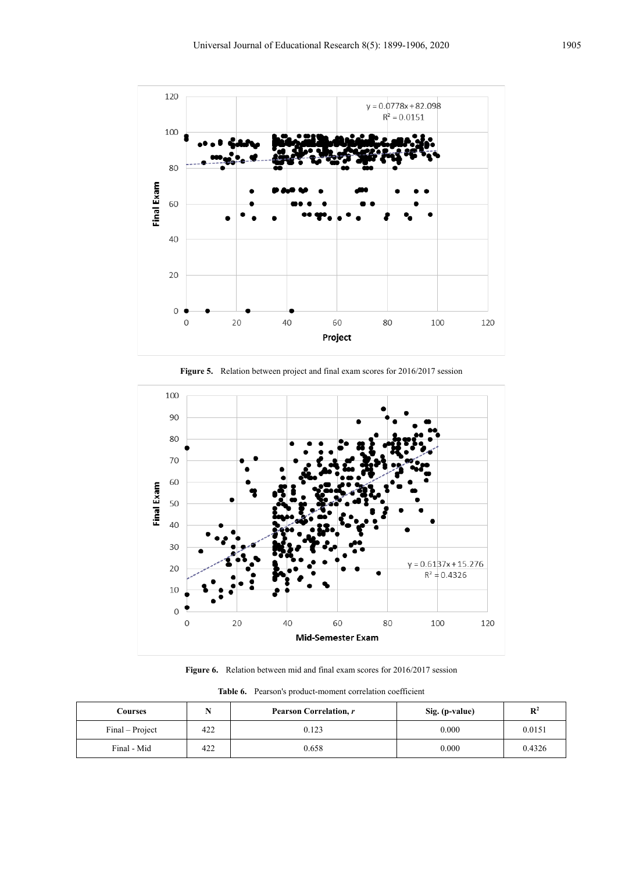



**Figure 5.** Relation between project and final exam scores for 2016/2017 session

**Figure 6.** Relation between mid and final exam scores for 2016/2017 session

| Courses         |     | Pearson Correlation, r | Sig. (p-value) | $\mathbb{R}^2$ |
|-----------------|-----|------------------------|----------------|----------------|
| Final – Project | 422 | 0.123                  | 0.000          | 0.0151         |
| Final - Mid     | 422 | 0.658                  | 0.000          | 0.4326         |

**Table 6.** Pearson's product-moment correlation coefficient